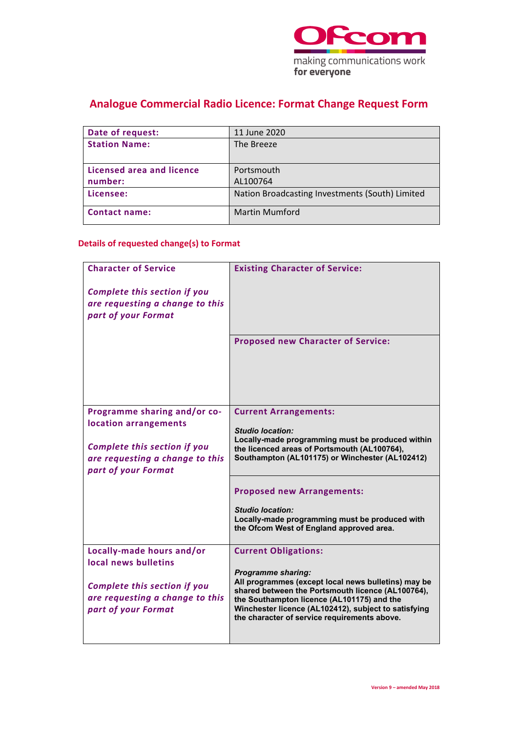

## **Analogue Commercial Radio Licence: Format Change Request Form**

| Date of request:          | 11 June 2020                                    |
|---------------------------|-------------------------------------------------|
| <b>Station Name:</b>      | The Breeze                                      |
|                           |                                                 |
| Licensed area and licence | Portsmouth                                      |
| number:                   | AL100764                                        |
| Licensee:                 | Nation Broadcasting Investments (South) Limited |
| <b>Contact name:</b>      | <b>Martin Mumford</b>                           |

### **Details of requested change(s) to Format**

| <b>Character of Service</b>                                                                   | <b>Existing Character of Service:</b>                                                                                                                                                                                                                                                       |
|-----------------------------------------------------------------------------------------------|---------------------------------------------------------------------------------------------------------------------------------------------------------------------------------------------------------------------------------------------------------------------------------------------|
| <b>Complete this section if you</b><br>are requesting a change to this<br>part of your Format |                                                                                                                                                                                                                                                                                             |
|                                                                                               | <b>Proposed new Character of Service:</b>                                                                                                                                                                                                                                                   |
| Programme sharing and/or co-<br>location arrangements                                         | <b>Current Arrangements:</b><br><b>Studio location:</b>                                                                                                                                                                                                                                     |
| <b>Complete this section if you</b><br>are requesting a change to this<br>part of your Format | the licenced areas of Portsmouth (AL100764),<br>Southampton (AL101175) or Winchester (AL102412)                                                                                                                                                                                             |
|                                                                                               | <b>Proposed new Arrangements:</b>                                                                                                                                                                                                                                                           |
|                                                                                               | <b>Studio location:</b><br>Locally-made programming must be produced with<br>the Ofcom West of England approved area.                                                                                                                                                                       |
| Locally-made hours and/or<br>local news bulletins                                             | <b>Current Obligations:</b>                                                                                                                                                                                                                                                                 |
| <b>Complete this section if you</b><br>are requesting a change to this<br>part of your Format | <b>Programme sharing:</b><br>All programmes (except local news bulletins) may be<br>shared between the Portsmouth licence (AL100764),<br>the Southampton licence (AL101175) and the<br>Winchester licence (AL102412), subject to satisfying<br>the character of service requirements above. |
|                                                                                               | Locally-made programming must be produced within                                                                                                                                                                                                                                            |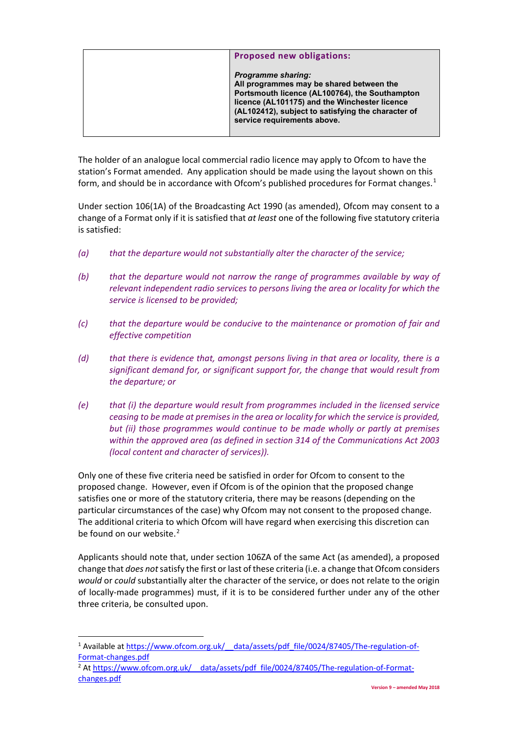| <b>Proposed new obligations:</b>                                                                                                                                                                                                                              |
|---------------------------------------------------------------------------------------------------------------------------------------------------------------------------------------------------------------------------------------------------------------|
| <b>Programme sharing:</b><br>All programmes may be shared between the<br>Portsmouth licence (AL100764), the Southampton<br>licence (AL101175) and the Winchester licence<br>(AL102412), subject to satisfying the character of<br>service requirements above. |

The holder of an analogue local commercial radio licence may apply to Ofcom to have the station's Format amended. Any application should be made using the layout shown on this form, and should be in accordance with Ofcom's published procedures for Format changes.<sup>[1](#page-1-0)</sup>

Under section 106(1A) of the Broadcasting Act 1990 (as amended), Ofcom may consent to a change of a Format only if it is satisfied that *at least* one of the following five statutory criteria is satisfied:

- *(a) that the departure would not substantially alter the character of the service;*
- *(b) that the departure would not narrow the range of programmes available by way of relevant independent radio services to persons living the area or locality for which the service is licensed to be provided;*
- *(c) that the departure would be conducive to the maintenance or promotion of fair and effective competition*
- *(d) that there is evidence that, amongst persons living in that area or locality, there is a significant demand for, or significant support for, the change that would result from the departure; or*
- *(e) that (i) the departure would result from programmes included in the licensed service ceasing to be made at premises in the area or locality for which the service is provided, but (ii) those programmes would continue to be made wholly or partly at premises within the approved area (as defined in section 314 of the Communications Act 2003 (local content and character of services)).*

Only one of these five criteria need be satisfied in order for Ofcom to consent to the proposed change. However, even if Ofcom is of the opinion that the proposed change satisfies one or more of the statutory criteria, there may be reasons (depending on the particular circumstances of the case) why Ofcom may not consent to the proposed change. The additional criteria to which Ofcom will have regard when exercising this discretion can be found on our website.<sup>[2](#page-1-1)</sup>

Applicants should note that, under section 106ZA of the same Act (as amended), a proposed change that *does not*satisfy the first or last of these criteria (i.e. a change that Ofcom considers *would* or *could* substantially alter the character of the service, or does not relate to the origin of locally-made programmes) must, if it is to be considered further under any of the other three criteria, be consulted upon.

<span id="page-1-0"></span><sup>&</sup>lt;sup>1</sup> Available at https://www.ofcom.org.uk/ data/assets/pdf file/0024/87405/The-regulation-of-[Format-changes.pdf](https://www.ofcom.org.uk/__data/assets/pdf_file/0024/87405/The-regulation-of-Format-changes.pdf) 2

<span id="page-1-1"></span><sup>&</sup>lt;sup>2</sup> At https://www.ofcom.org.uk/ data/assets/pdf\_file/0024/87405/The-regulation-of-Format[changes.pdf](https://www.ofcom.org.uk/__data/assets/pdf_file/0024/87405/The-regulation-of-Format-changes.pdf)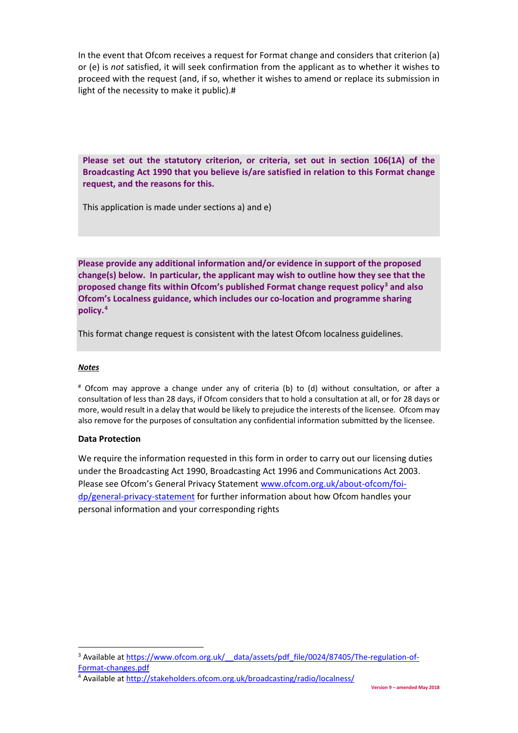In the event that Ofcom receives a request for Format change and considers that criterion (a) or (e) is *not* satisfied, it will seek confirmation from the applicant as to whether it wishes to proceed with the request (and, if so, whether it wishes to amend or replace its submission in light of the necessity to make it public).#

**Please set out the statutory criterion, or criteria, set out in section 106(1A) of the Broadcasting Act 1990 that you believe is/are satisfied in relation to this Format change request, and the reasons for this.** 

This application is made under sections a) and e)

**Please provide any additional information and/or evidence in support of the proposed change(s) below. In particular, the applicant may wish to outline how they see that the proposed change fits within Ofcom's published Format change request policy[3](#page-2-0) and also Ofcom's Localness guidance, which includes our co-location and programme sharing policy.[4](#page-2-1)** 

This format change request is consistent with the latest Ofcom localness guidelines.

### *Notes*

# Ofcom may approve a change under any of criteria (b) to (d) without consultation, or after a consultation of less than 28 days, if Ofcom considers that to hold a consultation at all, or for 28 days or more, would result in a delay that would be likely to prejudice the interests of the licensee. Ofcom may also remove for the purposes of consultation any confidential information submitted by the licensee.

### **Data Protection**

We require the information requested in this form in order to carry out our licensing duties under the Broadcasting Act 1990, Broadcasting Act 1996 and Communications Act 2003. Please see Ofcom's General Privacy Statement [www.ofcom.org.uk/about-ofcom/foi](http://www.ofcom.org.uk/about-ofcom/foi-dp/general-privacy-statement)[dp/general-privacy-statement](http://www.ofcom.org.uk/about-ofcom/foi-dp/general-privacy-statement) for further information about how Ofcom handles your personal information and your corresponding rights

<span id="page-2-0"></span><sup>&</sup>lt;sup>3</sup> Available at https://www.ofcom.org.uk/ data/assets/pdf\_file/0024/87405/The-regulation-of-[Format-changes.pdf](https://www.ofcom.org.uk/__data/assets/pdf_file/0024/87405/The-regulation-of-Format-changes.pdf) 4 Available at<http://stakeholders.ofcom.org.uk/broadcasting/radio/localness/>

<span id="page-2-1"></span>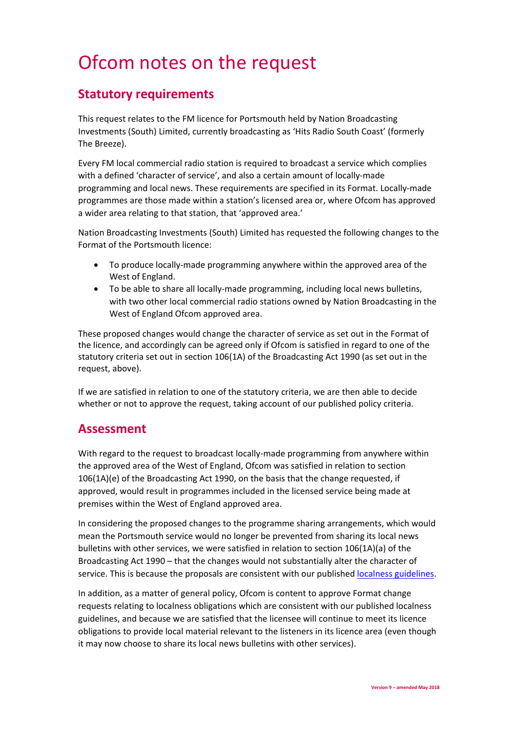# Ofcom notes on the request

### **Statutory requirements**

This request relates to the FM licence for Portsmouth held by Nation Broadcasting Investments (South) Limited, currently broadcasting as 'Hits Radio South Coast' (formerly The Breeze).

Every FM local commercial radio station is required to broadcast a service which complies with a defined 'character of service', and also a certain amount of locally-made programming and local news. These requirements are specified in its Format. Locally-made programmes are those made within a station's licensed area or, where Ofcom has approved a wider area relating to that station, that 'approved area.'

Nation Broadcasting Investments (South) Limited has requested the following changes to the Format of the Portsmouth licence:

- To produce locally-made programming anywhere within the approved area of the West of England.
- To be able to share all locally-made programming, including local news bulletins, with two other local commercial radio stations owned by Nation Broadcasting in the West of England Ofcom approved area.

These proposed changes would change the character of service as set out in the Format of the licence, and accordingly can be agreed only if Ofcom is satisfied in regard to one of the statutory criteria set out in section 106(1A) of the Broadcasting Act 1990 (as set out in the request, above).

If we are satisfied in relation to one of the statutory criteria, we are then able to decide whether or not to approve the request, taking account of our published policy criteria.

### **Assessment**

With regard to the request to broadcast locally-made programming from anywhere within the approved area of the West of England, Ofcom was satisfied in relation to section 106(1A)(e) of the Broadcasting Act 1990, on the basis that the change requested, if approved, would result in programmes included in the licensed service being made at premises within the West of England approved area.

In considering the proposed changes to the programme sharing arrangements, which would mean the Portsmouth service would no longer be prevented from sharing its local news bulletins with other services, we were satisfied in relation to section 106(1A)(a) of the Broadcasting Act 1990 – that the changes would not substantially alter the character of service. This is because the proposals are consistent with our publishe[d localness guidelines.](https://www.ofcom.org.uk/tv-radio-and-on-demand/information-for-industry/radio-broadcasters/localness)

In addition, as a matter of general policy, Ofcom is content to approve Format change requests relating to localness obligations which are consistent with our published localness guidelines, and because we are satisfied that the licensee will continue to meet its licence obligations to provide local material relevant to the listeners in its licence area (even though it may now choose to share its local news bulletins with other services).